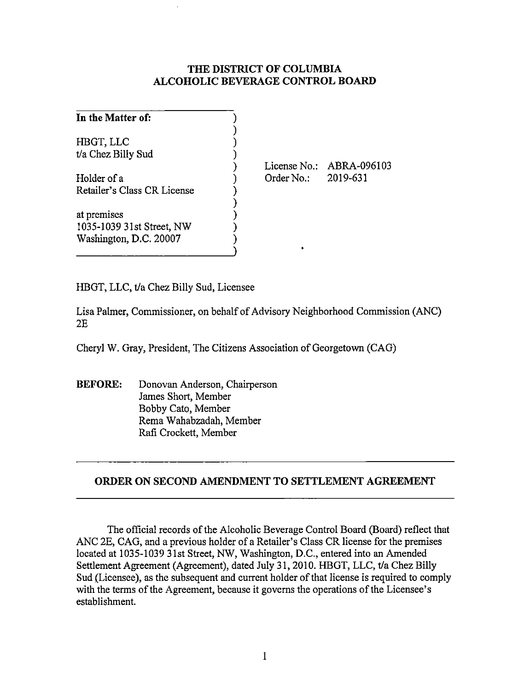## **THE DISTRICT OF COLUMBIA ALCOHOLIC BEVERAGE CONTROL BOARD**

| In the Matter of:               |                          |
|---------------------------------|--------------------------|
| HBGT, LLC<br>t/a Chez Billy Sud |                          |
|                                 | License No.: ABRA-096103 |
| Holder of a                     | 2019-631<br>Order No.:   |
| Retailer's Class CR License     |                          |
| at premises                     |                          |
| 1035-1039 31st Street, NW       |                          |
| Washington, D.C. 20007          |                          |

HBGT, LLC, t/a Chez Billy Sud, Licensee

Lisa Palmer, Commissioner, on behalf of Advisory Neighborhood Commission (ANC) 2E

Cheryl W. Gray, President, The Citizens Association of Georgetown (CAG)

**BEFORE:** Donovan Anderson, Chairperson James Short, Member Bobby Cato, Member Rema Wahabzadah, Member Rafi Crockett, Member

## **ORDER ON SECOND AMENDMENT TO SETTLEMENT AGREEMENT**

The official records of the Alcoholic Beverage Control Board (Board) reflect that ANC 2E, CAG, and a previous holder of a Retailer's Class CR license for the premises located at 1035-1039 31st Street, NW, Washington, D.C., entered into an Amended Settlement Agreement (Agreement), dated July 31, 2010. HBGT, LLC, t/a Chez Billy Sud (Licensee), as the subsequent and current holder of that license is required to comply with the terms of the Agreement, because it governs the operations of the Licensee's establishment.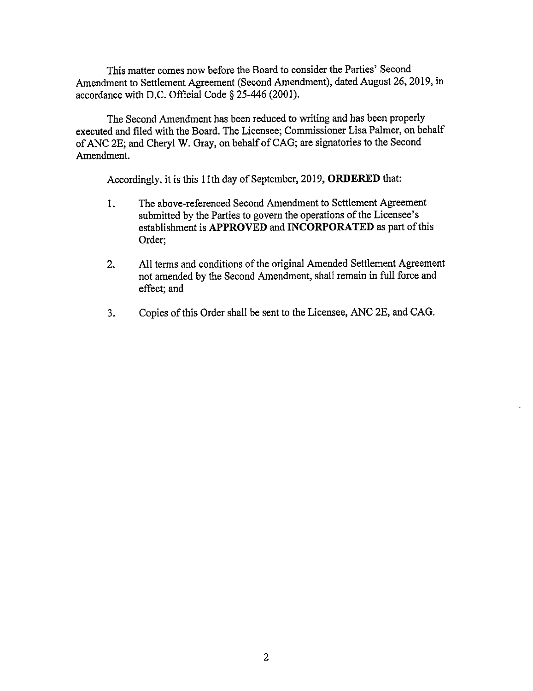This matter comes now before the Board to consider the Parties' Second Amendment to Settlement Agreement (Second Amendment), dated August 26, 2019, in accordance with D.C. Official Code § 25-446 (2001).

The Second Amendment has been reduced to writing and has been properly executed and filed with the Board. The Licensee; Commissioner Lisa Palmer, on behalf of ANC 2E; and Cheryl W. Gray, on behalf of CAG; are signatories to the Second Amendment.

Accordingly, it is this 11th day of September, 2019, **ORDERED** that:

- 1. The above-referenced Second Amendment to Settlement Agreement submitted by the Parties to govern the operations of the Licensee's establishment is **APPROVED and INCORPORATED** as part of this Order;
- 2. All terms and conditions of the original Amended Settlement Agreement not amended by the Second Amendment, shall remain in full force and effect; and
- 3. Copies of this Order shall be sent to the Licensee, ANC 2E, and CAG.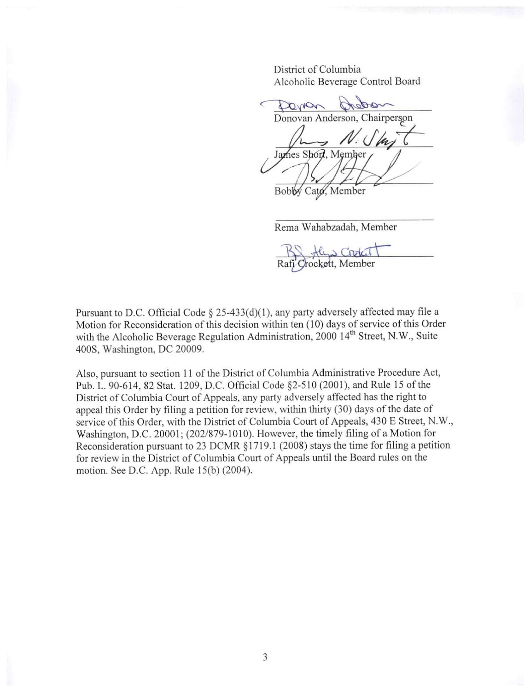District of Columbia Alcoholic Beverage Control Board

Dorron Donovan Anderson, Chairperson James Short, Member

Bobby Cato, Member

Rema Wahabzadah, Member

Crockett, Member

Pursuant to D.C. Official Code§ 25-433(d)(1), any party adversely affected may file a Motion for Reconsideration of this decision within ten ( 10) days of service of this Order with the Alcoholic Beverage Regulation Administration, 2000 14<sup>th</sup> Street, N.W., Suite 400S, Washington, DC 20009.

Also, pursuant to section 11 of the District of Columbia Administrative Procedure Act, Pub. L. 90-614, 82 Stat. 1209, D.C. Official Code §2-510 (2001), and Rule 15 of the District of Columbia Court of Appeals, any party adversely affected has the right to appeal this Order by filing a petition for review, within thirty (30) days of the date of service of this Order, with the District of Columbia Court of Appeals, 430 E Street, N. W., Washington, D.C. 20001; (202/879-1010). However, the timely filing of a Motion for Reconsideration pursuant to 23 DCMR § 1719.1 (2008) stays the time for filing a petition for review in the District of Columbia Court of Appeals until the Board rules on the motion. See D.C. App. Rule 15(b) (2004).

3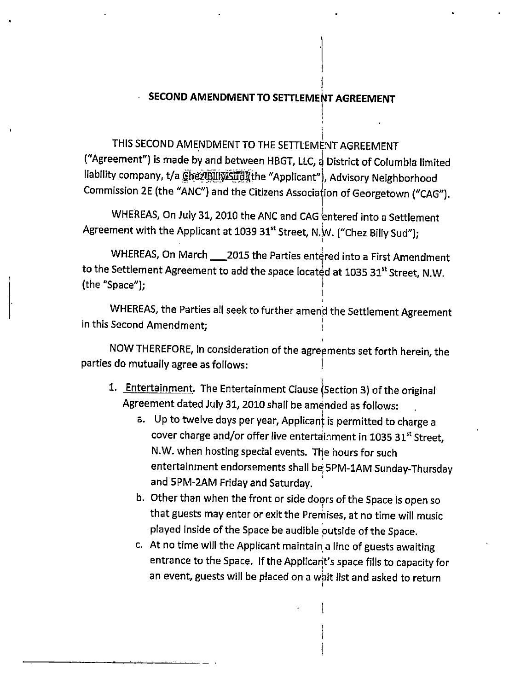## t **SECOND AMENDMENT TO SETTLEMErT AGREEMENT**

I I

I

THIS SECOND AMENDMENT TO THE SETTLEMENT AGREEMENT ("Agreement") is made by and between HBGT, LLC,  $\frac{1}{9}$  District of Columbia limited liability company, t/a ChezBillySudi(the "Applicant"), Advisory Neighborhood Commission 2E (the "ANC") and the Citizens Association of Georgetown ("CAG").

WHEREAS, On July 31, 2010 the ANC and CAG entered into a Settlement Agreement with the Applicant at 1039 31<sup>st</sup> Street, N.W. ("Chez Billy Sud");

WHEREAS, On March \_\_\_ 2015 the Parties entered into a First Amendment to the Settlement Agreement to add the space located at 1035 31st Street, N.W. (the "Space"); \

WHEREAS, the Parties all seek to further amend the Settlement Agreement In this Second Amendment;

NOW THEREFORE, in consideration of the agreements set forth herein, the parties do mutually agree as follows: !

- 1. Entertainment. The Entertainment Clause (Section 3) of the original Agreement dated July 31, 2010 shall be amended as follows:
	- a. Up to twelve days per year, Applicant is permitted to charge a cover charge and/or offer live entertainment in 1035 31st Street, N.W. when hosting special events. The hours for such entertainment endorsements shall be, 5PM-1AM Sunday-Thursday and 5PM-2AM Friday and Saturday.
	- b. Other than when the front or side doors of the Space is open so that guests may enter or exit the Premises, at no time will music played Inside of the Space be audible putside of the Space.
	- c. At no time will the Applicant maintain, a line of guests awaiting entrance to the Space. If the Applicant's space fills to capacity for an event, guests will be placed on a wait list and asked to return

I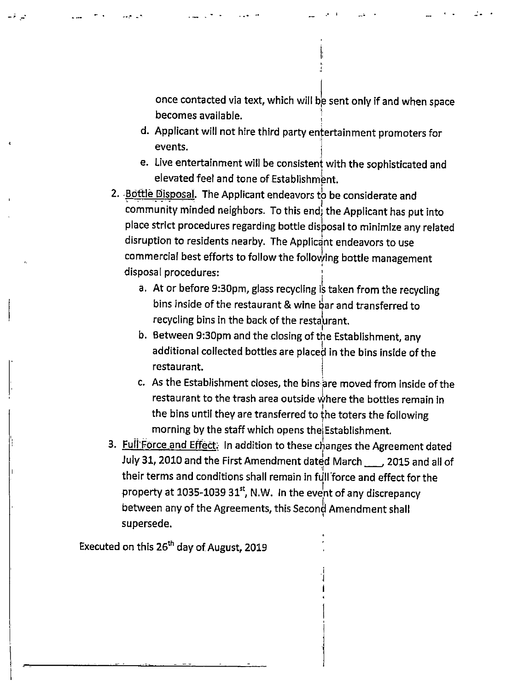once contacted via text, which will be sent only if and when space becomes available. ,

I: ' " '  $\bullet$   $\bullet$ 

- d. Applicant will not hire third party entertainment promoters for  $e$  vents.
- e. Live entertainment will be consistent with the sophisticated and elevated feel and tone of Establishment.
- 2. Bottle Disposal. The Applicant endeavors to be considerate and community minded neighbors. To this end; the Applicant has put into place strict procedures regarding bottle disposal to minimize any related disruption to residents nearby. The Applicant endeavors to use commercial best efforts to follow the folloJing bottle management ' disposal procedures: I
	- a. At or before 9:30pm, glass recycling is taken from the recycling bins inside of the restaurant & wine bar and transferred to recycling bins in the back of the restaurant.
	- b. Between 9:30pm and the closing of the Establishment, any additional collected bottles are placed in the bins inside of the restaurant.
	- c. As the Establishment closes, the bins are moved from inside of the restaurant to the trash area outside where the bottles remain in the bins until they are transferred to the toters the following<br>morning by the staff which opens the Establishment.

j I

3. Full Force and Effect: In addition to these changes the Agreement dated July 31, 2010 and the First Amendment dated March\_\_\_, 2015 and all of their terms and conditions shall remain in full force and effect for the property at 1035-1039 31st, N.W. In the event of any discrepancy between any of the Agreements, this Second Amendment shall ' supersede.

Executed on this 26<sup>th</sup> day of August, 2019

المحمد المحاجي سندار المناطق المحمد المحاجم السيدار المناطق فللمحمد